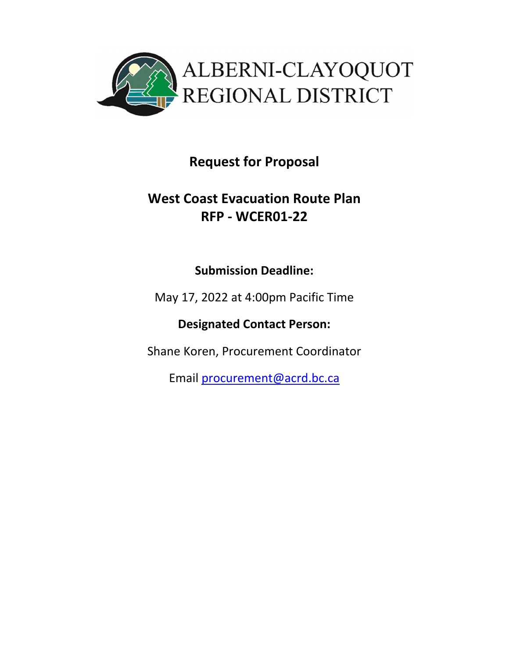

# **Request for Proposal**

# **West Coast Evacuation Route Plan RFP ‐ WCER01‐22**

## **Submission Deadline:**

May 17, 2022 at 4:00pm Pacific Time

**Designated Contact Person:** 

Shane Koren, Procurement Coordinator

Email procurement@acrd.bc.ca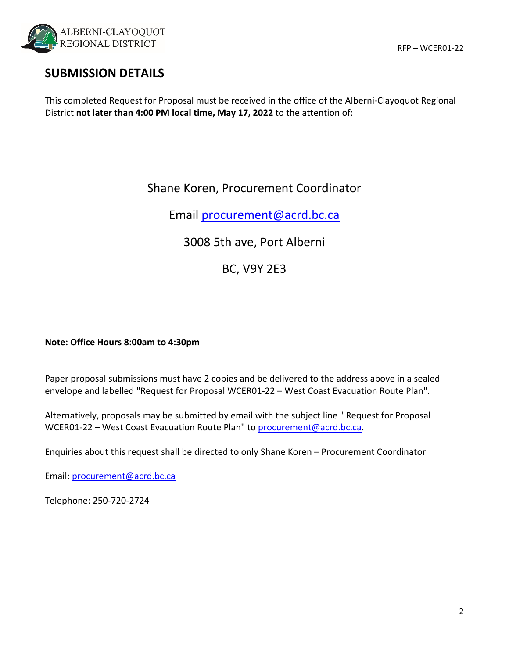

### **SUBMISSION DETAILS**

This completed Request for Proposal must be received in the office of the Alberni‐Clayoquot Regional District **not later than 4:00 PM local time, May 17, 2022** to the attention of:

### Shane Koren, Procurement Coordinator

Email procurement@acrd.bc.ca

3008 5th ave, Port Alberni

BC, V9Y 2E3

#### **Note: Office Hours 8:00am to 4:30pm**

Paper proposal submissions must have 2 copies and be delivered to the address above in a sealed envelope and labelled "Request for Proposal WCER01‐22 – West Coast Evacuation Route Plan".

Alternatively, proposals may be submitted by email with the subject line " Request for Proposal WCER01-22 – West Coast Evacuation Route Plan" to procurement@acrd.bc.ca.

Enquiries about this request shall be directed to only Shane Koren – Procurement Coordinator

Email: procurement@acrd.bc.ca

Telephone: 250‐720‐2724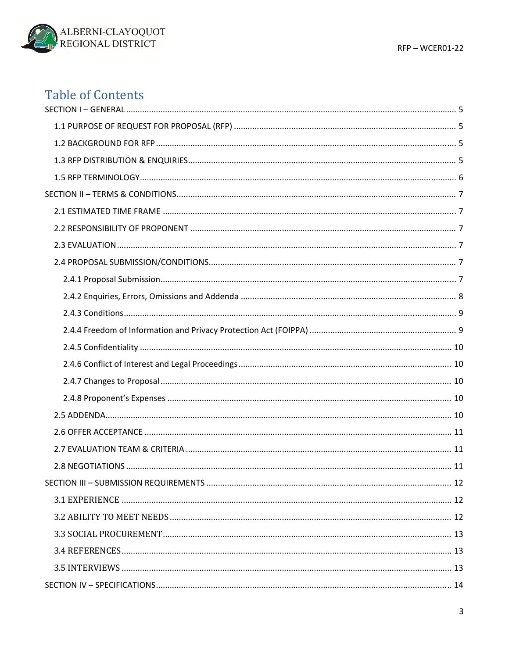

# **Table of Contents**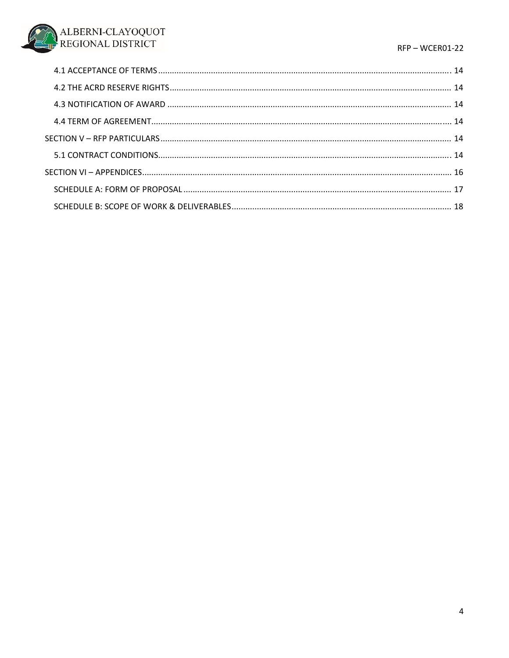#### RFP-WCER01-22

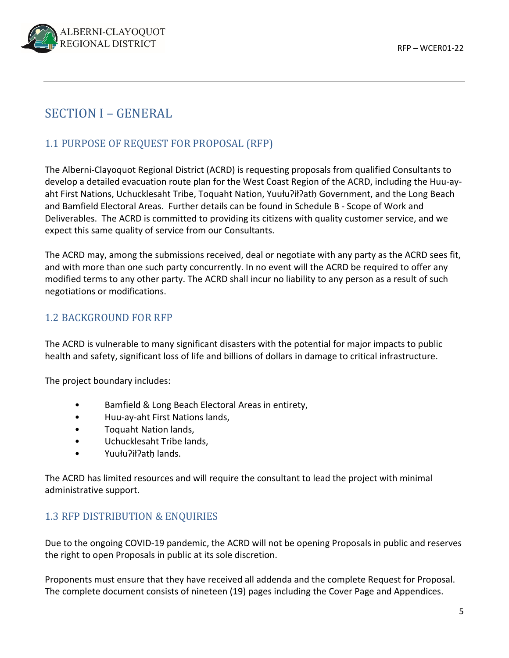

## SECTION I – GENERAL

### 1.1 PURPOSE OF REQUEST FOR PROPOSAL (RFP)

The Alberni‐Clayoquot Regional District (ACRD) is requesting proposals from qualified Consultants to develop a detailed evacuation route plan for the West Coast Region of the ACRD, including the Huu‐ay‐ aht First Nations, Uchucklesaht Tribe, Toquaht Nation, Yuułuʔiłʔatḥ Government, and the Long Beach and Bamfield Electoral Areas. Further details can be found in Schedule B ‐ Scope of Work and Deliverables. The ACRD is committed to providing its citizens with quality customer service, and we expect this same quality of service from our Consultants.

The ACRD may, among the submissions received, deal or negotiate with any party as the ACRD sees fit, and with more than one such party concurrently. In no event will the ACRD be required to offer any modified terms to any other party. The ACRD shall incur no liability to any person as a result of such negotiations or modifications.

### 1.2 BACKGROUND FOR RFP

The ACRD is vulnerable to many significant disasters with the potential for major impacts to public health and safety, significant loss of life and billions of dollars in damage to critical infrastructure.

The project boundary includes:

- Bamfield & Long Beach Electoral Areas in entirety,
- Huu‐ay‐aht First Nations lands,
- Toquaht Nation lands,
- Uchucklesaht Tribe lands,
- Yuułu?ił?ath lands.

The ACRD has limited resources and will require the consultant to lead the project with minimal administrative support.

#### 1.3 RFP DISTRIBUTION & ENQUIRIES

Due to the ongoing COVID‐19 pandemic, the ACRD will not be opening Proposals in public and reserves the right to open Proposals in public at its sole discretion.

Proponents must ensure that they have received all addenda and the complete Request for Proposal. The complete document consists of nineteen (19) pages including the Cover Page and Appendices.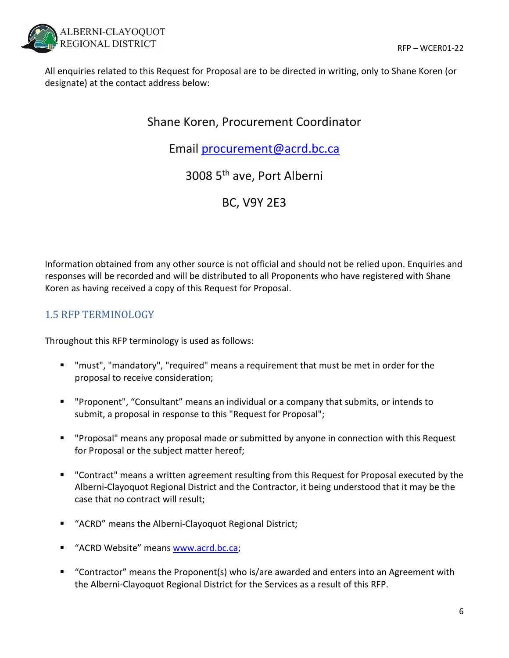

All enquiries related to this Request for Proposal are to be directed in writing, only to Shane Koren (or designate) at the contact address below:

## Shane Koren, Procurement Coordinator

Email procurement@acrd.bc.ca

3008 5th ave, Port Alberni

BC, V9Y 2E3

Information obtained from any other source is not official and should not be relied upon. Enquiries and responses will be recorded and will be distributed to all Proponents who have registered with Shane Koren as having received a copy of this Request for Proposal.

### 1.5 RFP TERMINOLOGY

Throughout this RFP terminology is used as follows:

- "must", "mandatory", "required" means a requirement that must be met in order for the proposal to receive consideration;
- "Proponent", "Consultant" means an individual or a company that submits, or intends to submit, a proposal in response to this "Request for Proposal";
- "Proposal" means any proposal made or submitted by anyone in connection with this Request for Proposal or the subject matter hereof;
- " "Contract" means a written agreement resulting from this Request for Proposal executed by the Alberni‐Clayoquot Regional District and the Contractor, it being understood that it may be the case that no contract will result;
- "ACRD" means the Alberni-Clayoquot Regional District;
- " "ACRD Website" means www.acrd.bc.ca;
- "Contractor" means the Proponent(s) who is/are awarded and enters into an Agreement with the Alberni‐Clayoquot Regional District for the Services as a result of this RFP.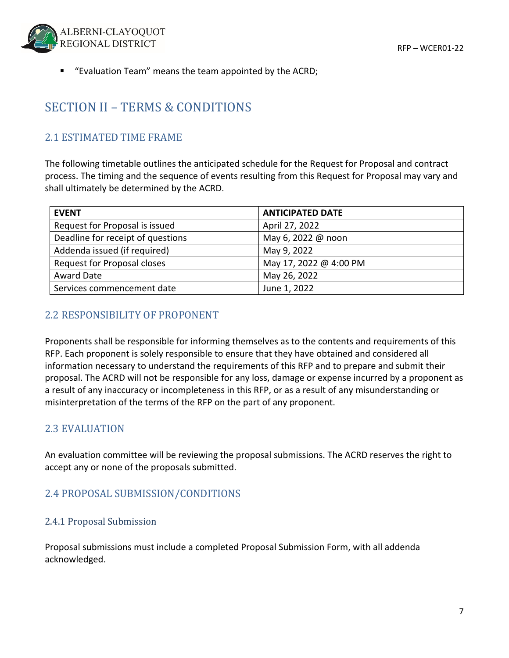

■ "Evaluation Team" means the team appointed by the ACRD;

## SECTION II – TERMS & CONDITIONS

### 2.1 ESTIMATED TIME FRAME

The following timetable outlines the anticipated schedule for the Request for Proposal and contract process. The timing and the sequence of events resulting from this Request for Proposal may vary and shall ultimately be determined by the ACRD.

| <b>EVENT</b>                      | <b>ANTICIPATED DATE</b> |
|-----------------------------------|-------------------------|
| Request for Proposal is issued    | April 27, 2022          |
| Deadline for receipt of questions | May 6, 2022 @ noon      |
| Addenda issued (if required)      | May 9, 2022             |
| Request for Proposal closes       | May 17, 2022 @ 4:00 PM  |
| <b>Award Date</b>                 | May 26, 2022            |
| Services commencement date        | June 1, 2022            |

### 2.2 RESPONSIBILITY OF PROPONENT

Proponents shall be responsible for informing themselves as to the contents and requirements of this RFP. Each proponent is solely responsible to ensure that they have obtained and considered all information necessary to understand the requirements of this RFP and to prepare and submit their proposal. The ACRD will not be responsible for any loss, damage or expense incurred by a proponent as a result of any inaccuracy or incompleteness in this RFP, or as a result of any misunderstanding or misinterpretation of the terms of the RFP on the part of any proponent.

### 2.3 EVALUATION

An evaluation committee will be reviewing the proposal submissions. The ACRD reserves the right to accept any or none of the proposals submitted.

### 2.4 PROPOSAL SUBMISSION/CONDITIONS

#### 2.4.1 Proposal Submission

Proposal submissions must include a completed Proposal Submission Form, with all addenda acknowledged.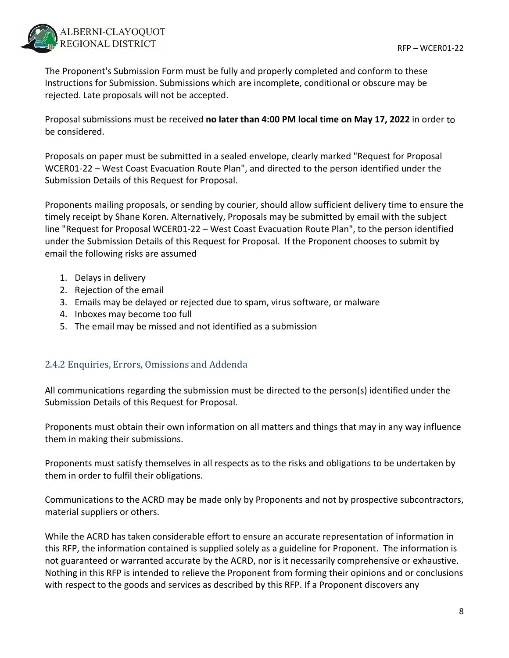

The Proponent's Submission Form must be fully and properly completed and conform to these Instructions for Submission. Submissions which are incomplete, conditional or obscure may be rejected. Late proposals will not be accepted.

Proposal submissions must be received **no later than 4:00 PM local time on May 17, 2022** in order to be considered.

Proposals on paper must be submitted in a sealed envelope, clearly marked "Request for Proposal WCER01-22 – West Coast Evacuation Route Plan", and directed to the person identified under the Submission Details of this Request for Proposal.

Proponents mailing proposals, or sending by courier, should allow sufficient delivery time to ensure the timely receipt by Shane Koren. Alternatively, Proposals may be submitted by email with the subject line "Request for Proposal WCER01‐22 – West Coast Evacuation Route Plan", to the person identified under the Submission Details of this Request for Proposal. If the Proponent chooses to submit by email the following risks are assumed

- 1. Delays in delivery
- 2. Rejection of the email
- 3. Emails may be delayed or rejected due to spam, virus software, or malware
- 4. Inboxes may become too full
- 5. The email may be missed and not identified as a submission

#### 2.4.2 Enquiries, Errors, Omissions and Addenda

All communications regarding the submission must be directed to the person(s) identified under the Submission Details of this Request for Proposal.

Proponents must obtain their own information on all matters and things that may in any way influence them in making their submissions.

Proponents must satisfy themselves in all respects as to the risks and obligations to be undertaken by them in order to fulfil their obligations.

Communications to the ACRD may be made only by Proponents and not by prospective subcontractors, material suppliers or others.

While the ACRD has taken considerable effort to ensure an accurate representation of information in this RFP, the information contained is supplied solely as a guideline for Proponent. The information is not guaranteed or warranted accurate by the ACRD, nor is it necessarily comprehensive or exhaustive. Nothing in this RFP is intended to relieve the Proponent from forming their opinions and or conclusions with respect to the goods and services as described by this RFP. If a Proponent discovers any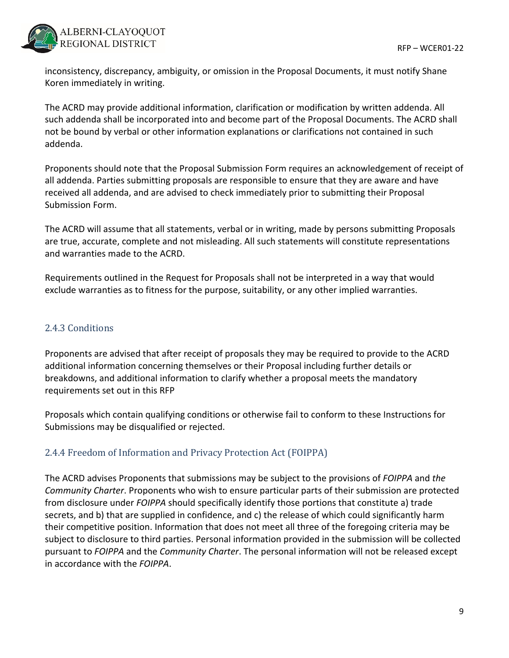

inconsistency, discrepancy, ambiguity, or omission in the Proposal Documents, it must notify Shane Koren immediately in writing.

The ACRD may provide additional information, clarification or modification by written addenda. All such addenda shall be incorporated into and become part of the Proposal Documents. The ACRD shall not be bound by verbal or other information explanations or clarifications not contained in such addenda.

Proponents should note that the Proposal Submission Form requires an acknowledgement of receipt of all addenda. Parties submitting proposals are responsible to ensure that they are aware and have received all addenda, and are advised to check immediately prior to submitting their Proposal Submission Form.

The ACRD will assume that all statements, verbal or in writing, made by persons submitting Proposals are true, accurate, complete and not misleading. All such statements will constitute representations and warranties made to the ACRD.

Requirements outlined in the Request for Proposals shall not be interpreted in a way that would exclude warranties as to fitness for the purpose, suitability, or any other implied warranties.

#### 2.4.3 Conditions

Proponents are advised that after receipt of proposals they may be required to provide to the ACRD additional information concerning themselves or their Proposal including further details or breakdowns, and additional information to clarify whether a proposal meets the mandatory requirements set out in this RFP

Proposals which contain qualifying conditions or otherwise fail to conform to these Instructions for Submissions may be disqualified or rejected.

### 2.4.4 Freedom of Information and Privacy Protection Act (FOIPPA)

The ACRD advises Proponents that submissions may be subject to the provisions of *FOIPPA* and *the Community Charter*. Proponents who wish to ensure particular parts of their submission are protected from disclosure under *FOIPPA* should specifically identify those portions that constitute a) trade secrets, and b) that are supplied in confidence, and c) the release of which could significantly harm their competitive position. Information that does not meet all three of the foregoing criteria may be subject to disclosure to third parties. Personal information provided in the submission will be collected pursuant to *FOIPPA* and the *Community Charter*. The personal information will not be released except in accordance with the *FOIPPA*.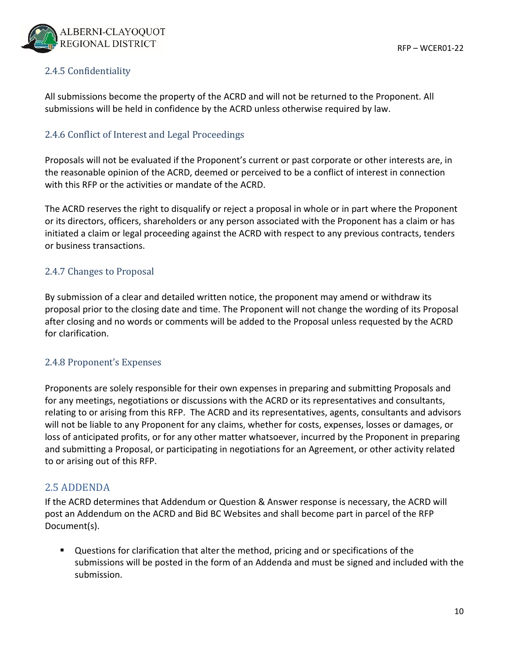

#### 2.4.5 Confidentiality

All submissions become the property of the ACRD and will not be returned to the Proponent. All submissions will be held in confidence by the ACRD unless otherwise required by law.

#### 2.4.6 Conflict of Interest and Legal Proceedings

Proposals will not be evaluated if the Proponent's current or past corporate or other interests are, in the reasonable opinion of the ACRD, deemed or perceived to be a conflict of interest in connection with this RFP or the activities or mandate of the ACRD.

The ACRD reserves the right to disqualify or reject a proposal in whole or in part where the Proponent or its directors, officers, shareholders or any person associated with the Proponent has a claim or has initiated a claim or legal proceeding against the ACRD with respect to any previous contracts, tenders or business transactions.

#### 2.4.7 Changes to Proposal

By submission of a clear and detailed written notice, the proponent may amend or withdraw its proposal prior to the closing date and time. The Proponent will not change the wording of its Proposal after closing and no words or comments will be added to the Proposal unless requested by the ACRD for clarification.

#### 2.4.8 Proponent's Expenses

Proponents are solely responsible for their own expenses in preparing and submitting Proposals and for any meetings, negotiations or discussions with the ACRD or its representatives and consultants, relating to or arising from this RFP. The ACRD and its representatives, agents, consultants and advisors will not be liable to any Proponent for any claims, whether for costs, expenses, losses or damages, or loss of anticipated profits, or for any other matter whatsoever, incurred by the Proponent in preparing and submitting a Proposal, or participating in negotiations for an Agreement, or other activity related to or arising out of this RFP.

#### 2.5 ADDENDA

If the ACRD determines that Addendum or Question & Answer response is necessary, the ACRD will post an Addendum on the ACRD and Bid BC Websites and shall become part in parcel of the RFP Document(s).

 Questions for clarification that alter the method, pricing and or specifications of the submissions will be posted in the form of an Addenda and must be signed and included with the submission.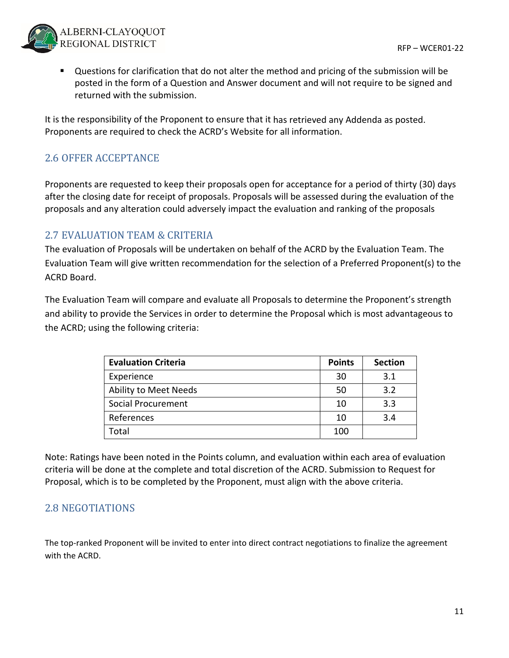

 Questions for clarification that do not alter the method and pricing of the submission will be posted in the form of a Question and Answer document and will not require to be signed and returned with the submission.

It is the responsibility of the Proponent to ensure that it has retrieved any Addenda as posted. Proponents are required to check the ACRD's Website for all information.

### 2.6 OFFER ACCEPTANCE

Proponents are requested to keep their proposals open for acceptance for a period of thirty (30) days after the closing date for receipt of proposals. Proposals will be assessed during the evaluation of the proposals and any alteration could adversely impact the evaluation and ranking of the proposals

### 2.7 EVALUATION TEAM & CRITERIA

The evaluation of Proposals will be undertaken on behalf of the ACRD by the Evaluation Team. The Evaluation Team will give written recommendation for the selection of a Preferred Proponent(s) to the ACRD Board.

The Evaluation Team will compare and evaluate all Proposals to determine the Proponent's strength and ability to provide the Services in order to determine the Proposal which is most advantageous to the ACRD; using the following criteria:

| <b>Evaluation Criteria</b> | <b>Points</b> | <b>Section</b> |
|----------------------------|---------------|----------------|
| Experience                 | 30            | 3.1            |
| Ability to Meet Needs      | 50            | 3.2            |
| <b>Social Procurement</b>  | 10            | 3.3            |
| References                 | 10            | 3.4            |
| Total                      | 100           |                |

Note: Ratings have been noted in the Points column, and evaluation within each area of evaluation criteria will be done at the complete and total discretion of the ACRD. Submission to Request for Proposal, which is to be completed by the Proponent, must align with the above criteria.

### 2.8 NEGOTIATIONS

The top-ranked Proponent will be invited to enter into direct contract negotiations to finalize the agreement with the ACRD.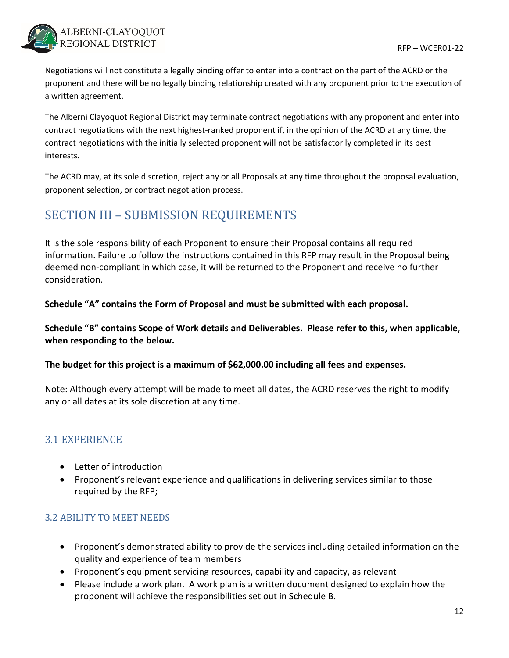

Negotiations will not constitute a legally binding offer to enter into a contract on the part of the ACRD or the proponent and there will be no legally binding relationship created with any proponent prior to the execution of a written agreement.

The Alberni Clayoquot Regional District may terminate contract negotiations with any proponent and enter into contract negotiations with the next highest‐ranked proponent if, in the opinion of the ACRD at any time, the contract negotiations with the initially selected proponent will not be satisfactorily completed in its best interests.

The ACRD may, at its sole discretion, reject any or all Proposals at any time throughout the proposal evaluation, proponent selection, or contract negotiation process.

## SECTION III – SUBMISSION REQUIREMENTS

It is the sole responsibility of each Proponent to ensure their Proposal contains all required information. Failure to follow the instructions contained in this RFP may result in the Proposal being deemed non‐compliant in which case, it will be returned to the Proponent and receive no further consideration.

**Schedule "A" contains the Form of Proposal and must be submitted with each proposal.**

**Schedule "B" contains Scope of Work details and Deliverables. Please refer to this, when applicable, when responding to the below.**

**The budget for this project is a maximum of \$62,000.00 including all fees and expenses.**

Note: Although every attempt will be made to meet all dates, the ACRD reserves the right to modify any or all dates at its sole discretion at any time.

### 3.1 EXPERIENCE

- Letter of introduction
- Proponent's relevant experience and qualifications in delivering services similar to those required by the RFP;

#### 3.2 ABILITY TO MEET NEEDS

- Proponent's demonstrated ability to provide the services including detailed information on the quality and experience of team members
- Proponent's equipment servicing resources, capability and capacity, as relevant
- Please include a work plan. A work plan is a written document designed to explain how the proponent will achieve the responsibilities set out in Schedule B.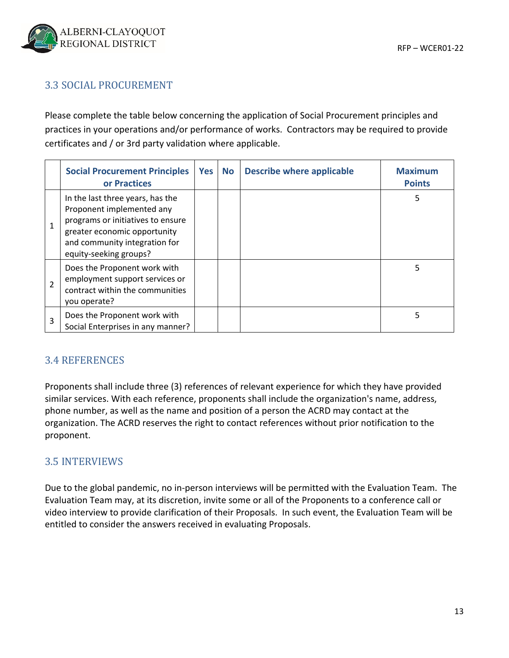### 3.3 SOCIAL PROCUREMENT

Please complete the table below concerning the application of Social Procurement principles and practices in your operations and/or performance of works. Contractors may be required to provide certificates and / or 3rd party validation where applicable.

|                | <b>Social Procurement Principles</b><br>or Practices                                                                                                                                          | Yes | <b>No</b> | <b>Describe where applicable</b> | <b>Maximum</b><br><b>Points</b> |
|----------------|-----------------------------------------------------------------------------------------------------------------------------------------------------------------------------------------------|-----|-----------|----------------------------------|---------------------------------|
| $\mathbf{1}$   | In the last three years, has the<br>Proponent implemented any<br>programs or initiatives to ensure<br>greater economic opportunity<br>and community integration for<br>equity-seeking groups? |     |           |                                  | 5                               |
| $\overline{2}$ | Does the Proponent work with<br>employment support services or<br>contract within the communities<br>you operate?                                                                             |     |           |                                  | 5                               |
| 3              | Does the Proponent work with<br>Social Enterprises in any manner?                                                                                                                             |     |           |                                  | 5                               |

### 3.4 REFERENCES

Proponents shall include three (3) references of relevant experience for which they have provided similar services. With each reference, proponents shall include the organization's name, address, phone number, as well as the name and position of a person the ACRD may contact at the organization. The ACRD reserves the right to contact references without prior notification to the proponent.

### 3.5 INTERVIEWS

Due to the global pandemic, no in-person interviews will be permitted with the Evaluation Team. The Evaluation Team may, at its discretion, invite some or all of the Proponents to a conference call or video interview to provide clarification of their Proposals. In such event, the Evaluation Team will be entitled to consider the answers received in evaluating Proposals.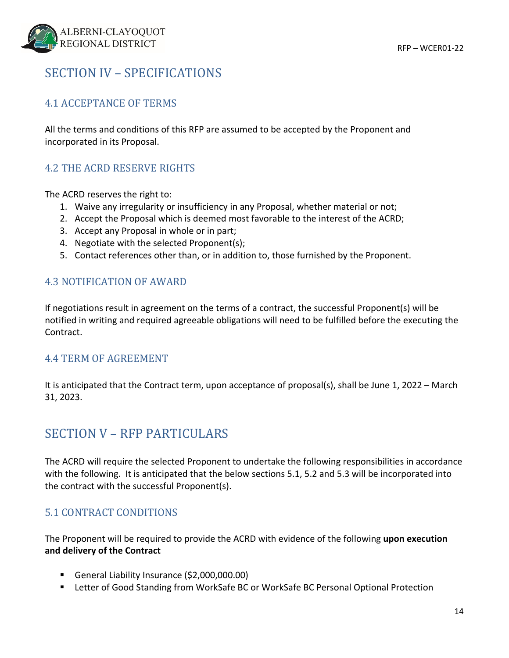## SECTION IV – SPECIFICATIONS

### 4.1 ACCEPTANCE OF TERMS

All the terms and conditions of this RFP are assumed to be accepted by the Proponent and incorporated in its Proposal.

### 4.2 THE ACRD RESERVE RIGHTS

The ACRD reserves the right to:

- 1. Waive any irregularity or insufficiency in any Proposal, whether material or not;
- 2. Accept the Proposal which is deemed most favorable to the interest of the ACRD;
- 3. Accept any Proposal in whole or in part;
- 4. Negotiate with the selected Proponent(s);
- 5. Contact references other than, or in addition to, those furnished by the Proponent.

#### 4.3 NOTIFICATION OF AWARD

If negotiations result in agreement on the terms of a contract, the successful Proponent(s) will be notified in writing and required agreeable obligations will need to be fulfilled before the executing the Contract.

#### 4.4 TERM OF AGREEMENT

It is anticipated that the Contract term, upon acceptance of proposal(s), shall be June 1, 2022 – March 31, 2023.

## SECTION V – RFP PARTICULARS

The ACRD will require the selected Proponent to undertake the following responsibilities in accordance with the following. It is anticipated that the below sections 5.1, 5.2 and 5.3 will be incorporated into the contract with the successful Proponent(s).

### 5.1 CONTRACT CONDITIONS

The Proponent will be required to provide the ACRD with evidence of the following **upon execution and delivery of the Contract**

- General Liability Insurance (\$2,000,000.00)
- Letter of Good Standing from WorkSafe BC or WorkSafe BC Personal Optional Protection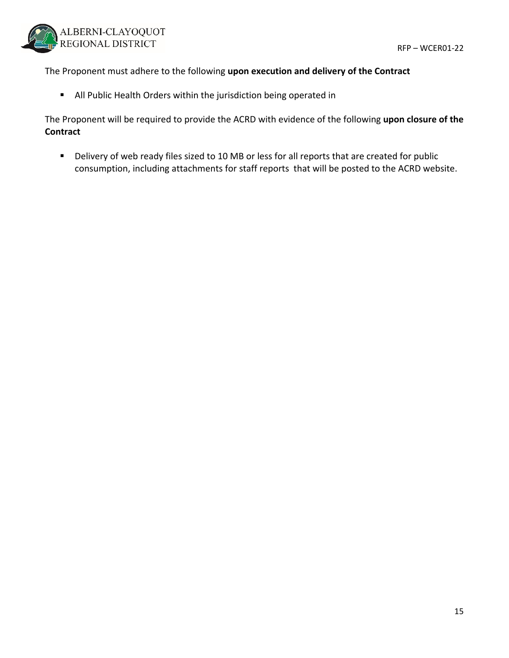

The Proponent must adhere to the following **upon execution and delivery of the Contract**

All Public Health Orders within the jurisdiction being operated in

The Proponent will be required to provide the ACRD with evidence of the following **upon closure of the Contract**

Delivery of web ready files sized to 10 MB or less for all reports that are created for public consumption, including attachments for staff reports that will be posted to the ACRD website.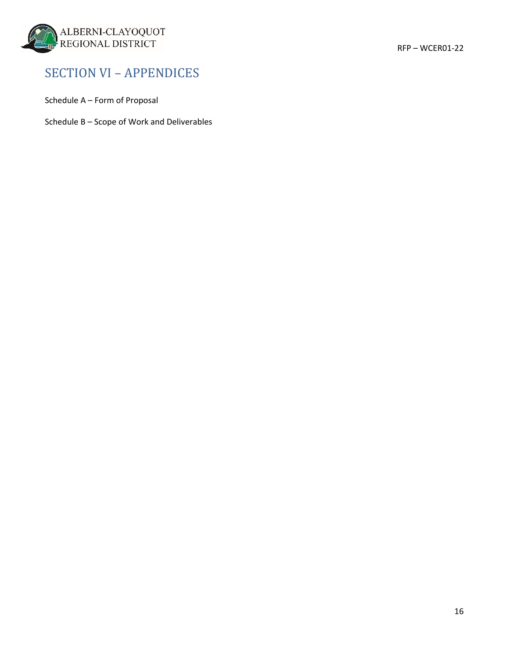

## SECTION VI – APPENDICES

Schedule A – Form of Proposal

Schedule B – Scope of Work and Deliverables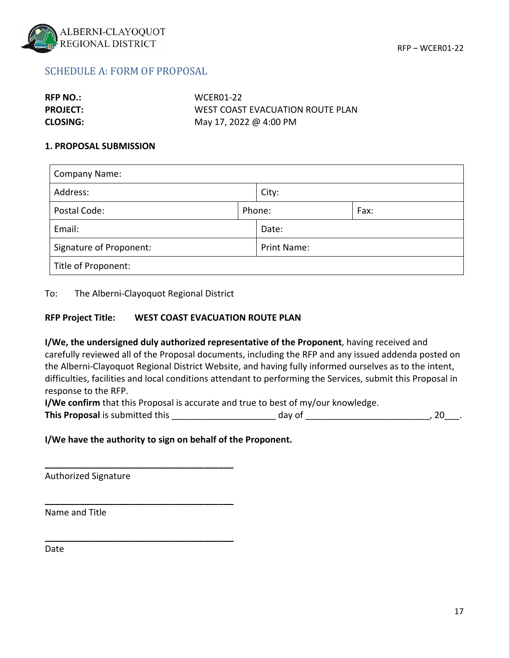

#### SCHEDULE A: FORM OF PROPOSAL

| <b>RFP NO.:</b> | <b>WCER01-22</b>                 |
|-----------------|----------------------------------|
| <b>PROJECT:</b> | WEST COAST EVACUATION ROUTE PLAN |
| <b>CLOSING:</b> | May 17, 2022 @ 4:00 PM           |

#### **1. PROPOSAL SUBMISSION**

| <b>Company Name:</b>    |  |                    |      |  |  |
|-------------------------|--|--------------------|------|--|--|
| Address:                |  | City:              |      |  |  |
| Postal Code:            |  | Phone:             | Fax: |  |  |
| Email:                  |  | Date:              |      |  |  |
| Signature of Proponent: |  | <b>Print Name:</b> |      |  |  |
| Title of Proponent:     |  |                    |      |  |  |

To: The Alberni‐Clayoquot Regional District

**\_\_\_\_\_\_\_\_\_\_\_\_\_\_\_\_\_\_\_\_\_\_\_\_\_\_\_\_\_\_\_\_\_\_\_\_\_\_**

**\_\_\_\_\_\_\_\_\_\_\_\_\_\_\_\_\_\_\_\_\_\_\_\_\_\_\_\_\_\_\_\_\_\_\_\_\_\_**

**\_\_\_\_\_\_\_\_\_\_\_\_\_\_\_\_\_\_\_\_\_\_\_\_\_\_\_\_\_\_\_\_\_\_\_\_\_\_**

#### **RFP Project Title: WEST COAST EVACUATION ROUTE PLAN**

**I/We, the undersigned duly authorized representative of the Proponent**, having received and carefully reviewed all of the Proposal documents, including the RFP and any issued addenda posted on the Alberni‐Clayoquot Regional District Website, and having fully informed ourselves as to the intent, difficulties, facilities and local conditions attendant to performing the Services, submit this Proposal in response to the RFP.

**I/We confirm** that this Proposal is accurate and true to best of my/our knowledge.

**This Proposal** is submitted this the submitted this the set of the state of the day of the state of the state of the state of the state of the state of the state of the state of the state of the state of the state of the

#### **I/We have the authority to sign on behalf of the Proponent.**

Authorized Signature

Name and Title

Date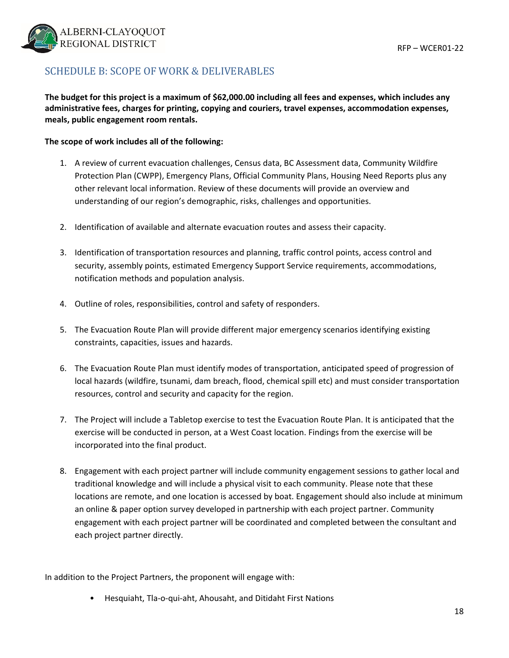

### SCHEDULE B: SCOPE OF WORK & DELIVERABLES

The budget for this project is a maximum of \$62,000.00 including all fees and expenses, which includes any **administrative fees, charges for printing, copying and couriers, travel expenses, accommodation expenses, meals, public engagement room rentals.**

#### **The scope of work includes all of the following:**

- 1. A review of current evacuation challenges, Census data, BC Assessment data, Community Wildfire Protection Plan (CWPP), Emergency Plans, Official Community Plans, Housing Need Reports plus any other relevant local information. Review of these documents will provide an overview and understanding of our region's demographic, risks, challenges and opportunities.
- 2. Identification of available and alternate evacuation routes and assess their capacity.
- 3. Identification of transportation resources and planning, traffic control points, access control and security, assembly points, estimated Emergency Support Service requirements, accommodations, notification methods and population analysis.
- 4. Outline of roles, responsibilities, control and safety of responders.
- 5. The Evacuation Route Plan will provide different major emergency scenarios identifying existing constraints, capacities, issues and hazards.
- 6. The Evacuation Route Plan must identify modes of transportation, anticipated speed of progression of local hazards (wildfire, tsunami, dam breach, flood, chemical spill etc) and must consider transportation resources, control and security and capacity for the region.
- 7. The Project will include a Tabletop exercise to test the Evacuation Route Plan. It is anticipated that the exercise will be conducted in person, at a West Coast location. Findings from the exercise will be incorporated into the final product.
- 8. Engagement with each project partner will include community engagement sessions to gather local and traditional knowledge and will include a physical visit to each community. Please note that these locations are remote, and one location is accessed by boat. Engagement should also include at minimum an online & paper option survey developed in partnership with each project partner. Community engagement with each project partner will be coordinated and completed between the consultant and each project partner directly.

In addition to the Project Partners, the proponent will engage with:

• Hesquiaht, Tla‐o‐qui‐aht, Ahousaht, and Ditidaht First Nations